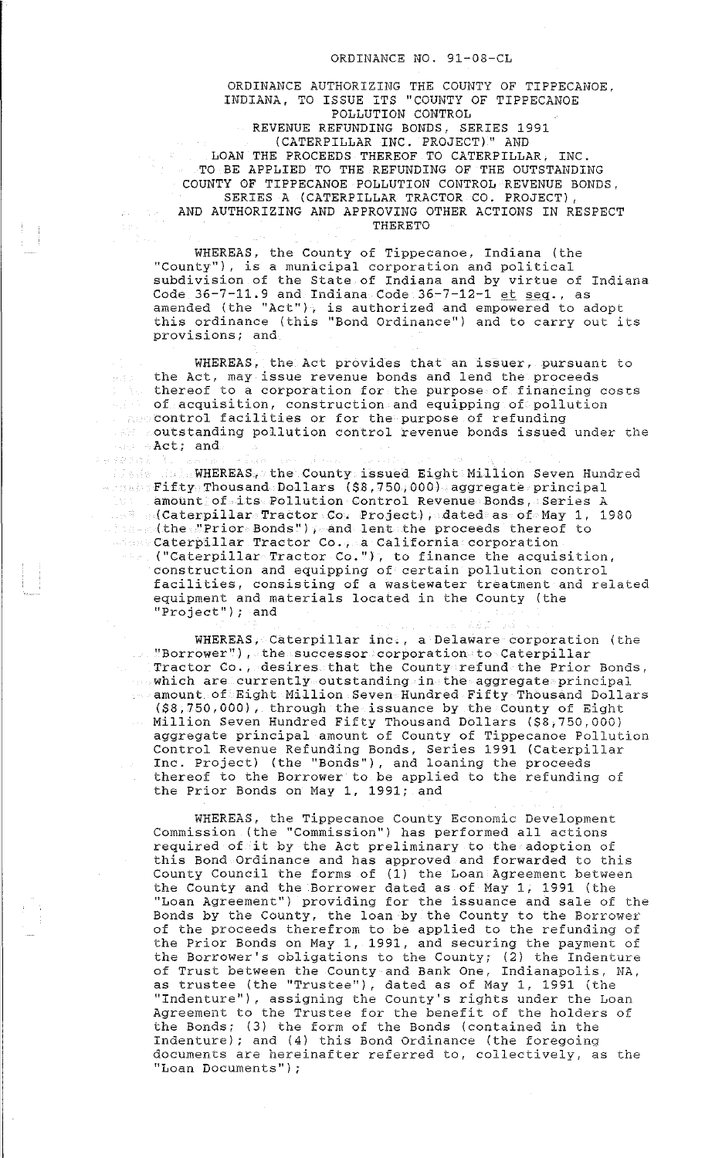## ORDINANCE NO. 91-08-CL

ORDINANCE AUTHORIZING THE COUNTY OF TIPPECANOE, INDIANA, TO ISSUE ITS ''COUNTY OF TIPPECANOE POLLUTION CONTROL REVENUE REFUNDING BONDS, SERIES 1991 (CATERPILLAR INC. PROJECT)" AND LOAN THE PROCEEDS THEREOF TO CATERPILLAR, INC. TO BE APPLIED TO THE REFUNDING OF THE OUTSTANDING COUNTY OF TIPPECANOE POLLUTION CONTROL REVENUE BONDS, SERIES A (CATERPILLAR TRACTOR CO. PROJECT), AND AUTHORIZING AND APPROVING OTHER ACTIONS IN RESPECT THERETO

WHEREAS, the County of Tippecanoe, Indiana (the THEREAS, the County of Tippecanoe, Indiana (th<br>WHEREAS, the County of Tippecanoe, Indiana (th<br>"County"), is a municipal corporation and political" subdivision of the State of Indiana and by virtue of Indiana Code 36-7-11.9 and Indiana Code 36-7-12-1  $et$   $sec$ , as amended (the ''Act''), is authorized and empowered to adopt this ordinance (this "Bond Ordinance") and to carry out its provisions; and

WHEREAS, the Act provides that an issuer, pursuant to the Act, may issue revenue bonds and lend the proceeds  $\rho(\mathcal{A}|\mathcal{A})$  . thereof to a corporation for the purpose of financing costs of acquisition, construction and equipping of pollution control facilities or for the purpose of refunding outstanding pollution control revenue bonds issued under che Act; and

 $\label{eq:2.1} \begin{array}{l} \left\langle \mathbb{D} \right\rangle_{\text{opt}} \left\langle \mathbb{D} \right\rangle_{\text{opt}} \left\langle \mathbb{D} \right\rangle_{\text{opt}} \left\langle \mathbb{D} \right\rangle_{\text{opt}} \left\langle \mathbb{D} \right\rangle_{\text{opt}} \left\langle \mathbb{D} \right\rangle_{\text{opt}} \left\langle \mathbb{D} \right\rangle_{\text{opt}} \left\langle \mathbb{D} \right\rangle_{\text{opt}} \left\langle \mathbb{D} \right\rangle_{\text{opt}} \left\langle \mathbb{D} \right\rangle_{\text{opt}} \left\langle$ 

MINEREAS, the County issued Eight Million Seven Hundred Fade Bights **WHEREAS, the County issued Eight Million Seven Hun**<br>Alman Fifty Thousand Dollars (\$8,750,000) aggregate principal amount of its Pollution Control Revenue Bonds, Series A (Caterpillar Tractor Co. Project), dated as of May 1, 1980 (the "Prior Bonds"), and lent the proceeds thereof to Caterpillar Tractor Co., a California corporation (''Caterpillar Tractor Co."), to finance the acquisition, construction and equipping of certain pollution control facilities, consisting of a wastewater treatment and related equipment and materials located in the County (the "Project"); and

WHEREAS, Caterpillar inc., a Delaware corporation (the ''Borrower''), the successor corporation to Caterpillar Tractor Co., desires that the County refund the Prior Bonds, which are currently outstanding in the aggregate principal  $\sim$  amount of Eight Million Seven Hundred Fifty Thousand Dollars (\$8,750,000), through the issuance by the County of Eight Million Seven Hundred Fifty Thousand Dollars (\$8,750,000) aggregate principal amount of County of Tippecanoe Pollution Control Revenue Refunding Bonds, Series 1991 (Caterpillar Inc. Project) (the ''Bonds"), and loaning the proceeds thereof to the Borrower to be applied to the refunding of the Prior Bonds on May 1, 1991; and

WHEREAS, the Tippecanoe County Economic Development Commission (the "Commission'') has performed all actions required of it by the Act preliminary to the adoption of this Bond Ordinance and has approved and forwarded to this County Council the forms of (1) the Loan Agreement between the County and the Borrower dated as of May 1, 1991 (the ''Loan Agreement") providing for the issuance and sale of the Bonds by the County, the loan by the County to the Borrower of the proceeds therefrom to be applied to the refunding of the Prior Bonds on May 1, 1991, and securing the payment of the Borrower's obligations to the County; (2) the Indenture of Trust between the County and Bank One, Indianapolis, NA, as trustee (the ''Trustee''), dated as of May 1, 1991 (the "Indenture''), assigning the County's rights under the Loan Agreement to the Trustee for the benefit of the holders of the Bonds; (3) the form of the Bonds (contained in the Indenture); and (4) this Bond Ordinance (the foregoing documents are hereinafter referred to, collectively, as the **''Loan Documents'');**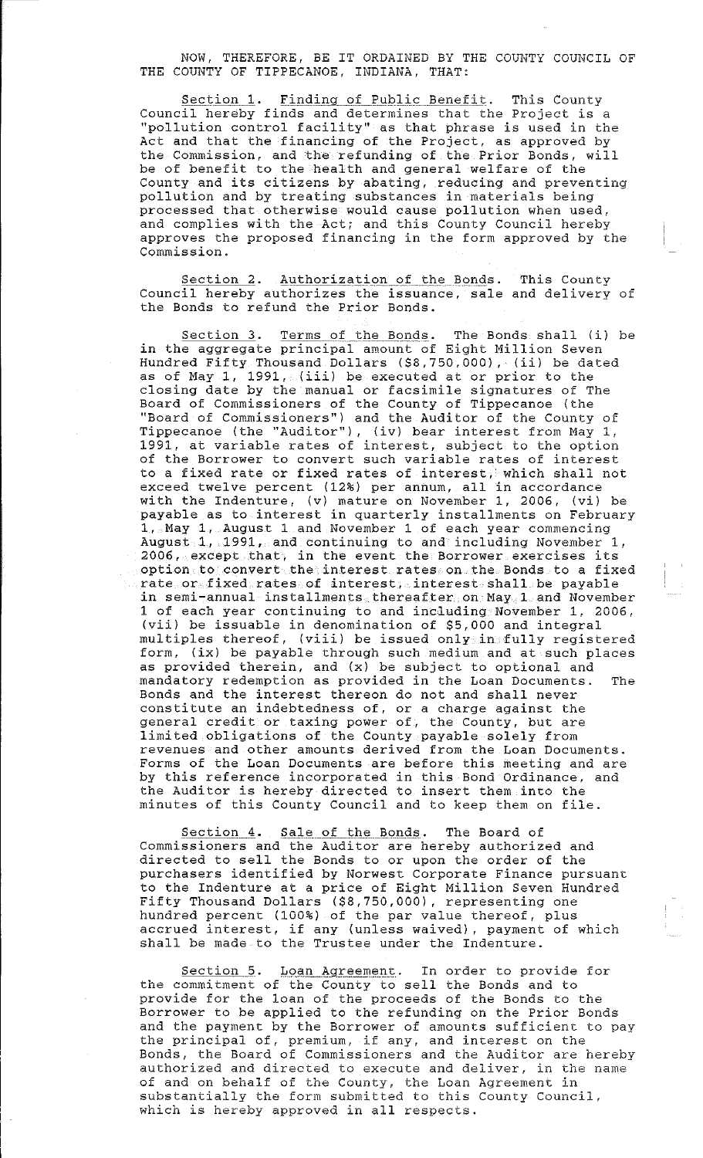NOW, THEREFORE, BE IT ORDAINED BY THE COUNTY COUNCIL OF THE COUNTY OF TIPPECANOE, INDIANA, THAT:

Section 1. Finding of Public Benefit. This County Council hereby finds and determines that the Project is a ''pollution control facility'' as that phrase is used in the Act and that the financing of the Project, as approved by the Commission, and the refunding of the Prior Bonds, will be of benefit to the health and general welfare of the County and its citizens by abating, reducing and preventing pollution and by treating substances in materials being processed that otherwise would cause pollution when used, and complies with the Act; and this County Council hereby approves the proposed financing in the form approved by the Commission.

Section 2. Authorization of the Bonds. This County Council hereby authorizes the issuance, sale and delivery of the Bonds to refund the Prior Bonds.

Section 3. Terms of the Bonds. The Bonds shall (i) be in the aggregate principal amount of Eight Million Seven Hundred Fifty Thousand Dollars (\$8,750,000), (ii) be dated as of May 1, 1991, (iii) be executed at or prior to the closing date by the manual or facsimile signatures of The Board of Commissioners of the County of Tippecanoe (the "Board of Commissioners") and the Auditor of the County of Tippecanoe (the "Auditor"), (iv) bear interest from May 1, 1991, at variable rates of interest, subject to the option of the Borrower to convert such variable rates of interest to a fixed rate or fixed rates of interest, which shall not exceed twelve percent (12%) per annum, all in accordance exceed ewerve percenc (12.6) per annum, and in accordance<br>with the Indenture, (v) mature on November 1, 2006, (vi) be payable as to interest in quarterly installments on February  $1$ , May  $1$ , August 1 and November 1 of each year commencing August  $1$ , 1991, and continuing to and including November 1,  $2006$ , except that, in the event the Borrower exercises its option to convert the interest rates on the Bonds to a fixed rate or fixed rates of interest, interest shall be payable in semi-annual installments thereafter on May 1 and November 1 of each year continuing to and including November 1, 2006, (vii) be issuable in denomination of \$5,000 and integral multiples thereof, (viii) be issued only in fully registered form, (ix) be payable through such medium and at such places as provided therein, and (x) be subject to optional and mandatory redemption as provided in the Loan Documents. The Bonds and the interest thereon do not and shall never constitute an indebtedness of, or a charge against the general credit or taxing power of, the County, but are limited obligations of the County payable solely from revenues and other amounts derived from the Loan Documents. Forms of the Loan Documents are before this meeting and are by this reference incorporated in this Bond Ordinance, and the Auditor is hereby directed to insert them into the minutes of this County Council and to keep them on file.

Section 4. Sale of the Bonds. The Board of Commissioners and the Auditor are hereby authorized and directed to sell the Bonds to or upon the order of the arrecessa se berr ene benas se or apon ene eraci or ene pursuant to the Indenture at a price of Eight Million Seven Hundred Fifty Thousand Dollars (\$8,750,000), representing one hundred percent (100%) of the par value thereof, plus accrued interest, if any (unless waived), payment of which shall be made to the Trustee under the Indenture.

Section 5. Loan Agreement. In order to provide for the commitment of the County to sell the Bonds and to provide for the loan of the proceeds of the Bonds to the Borrower to be applied to the refunding on the Prior Bonds and the payment by the Borrower of amounts sufficient to pay the principal of, premium, if any, and interest on the Bonds, the Board of Commissioners and the Auditor are hereby authorized and directed to execute and deliver, in the name of and on behalf of the County, the Loan Agreement in substantially the form submitted to this County Council, which is hereby approved in all respects.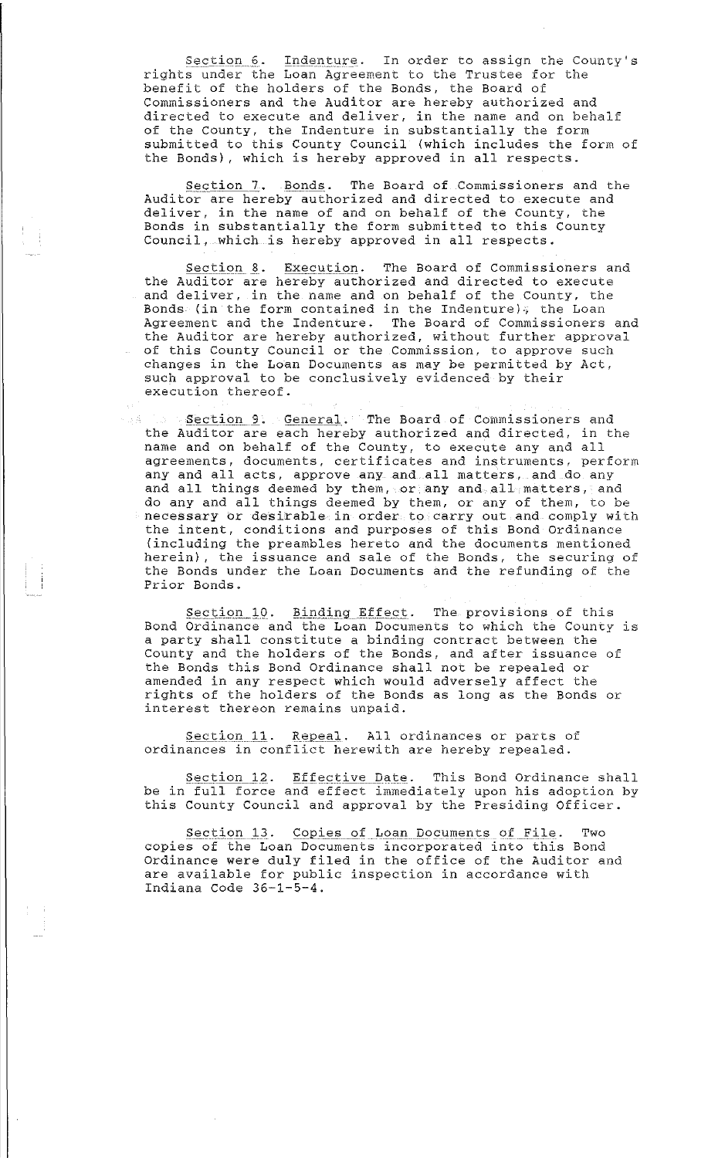Section 6. Indenture. In order to assign the County's rights under the Loan Agreement to the Trustee for the benefit of the holders of the Bonds, the Board of Commissioners and the Auditor are hereby authorized and directed to execute and deliver, in the name and on behalf of the County, the Indenture in substantially the form submitted to this County Council (which includes the form of the Bonds), which is hereby approved in all respects.

Section 7. Bonds. The Board of Commissioners and the Auditor are hereby authorized and directed to execute and deliver, in the name of and on behalf of the County, the Bonds in substantially the form submitted to this County Council, which is hereby approved in all respects.

Section 8. Execution. The Board of Commissioners and the Auditor are hereby authorized and directed to execute and deliver, in the name and on behalf of the County, the Bonds (in the form contained in the Indenture), the Loan Agreement and the Indenture. The Board of Commissioners and the Auditor are hereby authorized, without further approval of this County Council or the Commission, to approve such changes in the Loan Documencs as may be permitted by Act, such approval to be conclusively evidenced by their execution thereof.

Section 9. General. The Board of Commissioners and 下口店: the Auditor are each hereby authorized and directed, in the name and on behalf of the County, to execute any and all agreements, documents, certificates and instruments, perform any and all acts, approve any and all matters, and do any and all things deemed by them, or any and all matters, and and all things dethed by them, of any and all hatter matters, and necessary or desirable in order to carry out and comply with the intent, conditions and purposes of this Bond Ordinance (including the preambles hereto and the documents mentioned herein), the issuance and sale of the Bonds, the securing of the Bonds under the Loan Documents and the refunding of the Prior Bonds.

Section 10. Binding Effect. The provisions of this Bond Ordinance and the Loan Documents to which the County is a party shall constitute a binding contract between the County and the holders of the Bonds, and after issuance of the Bonds this Bond Ordinance shall not be repealed or amended in any respect which would adversely affect the rights of the holders of the Bonds as long as the Bonds or inghts of the horders of the Bondard research

Section 11. Repeal. All ordinances or parts of ordinances in conflict herewith are hereby repealed.

Section 12. Effective Date. This Bond Ordinance shall be in full force and effect immediately upon his adoption by this County Council and approval by the Presiding Officer.

Section 13. Copies of Loan Documents of File. Two copies of the Loan Documents incorporated into this Bond Ordinance were duly filed in the office of the Auditor and are available for public inspection in accordance with Indiana Code 36-1-5-4.